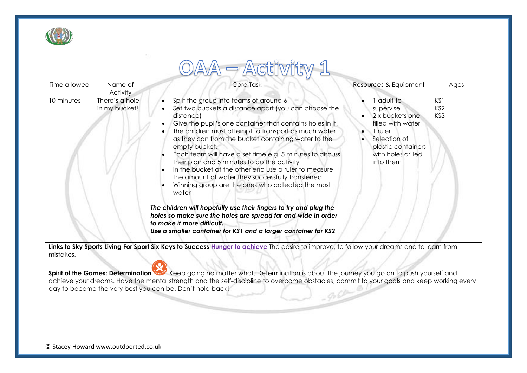

## OAA - Activity 1

| Time allowed                                                                                                                                           | Name of                                            | Core Task                                                                                                                                                                                                                                                                                                                                                                                                                                                                        | Resources & Equipment                                                                                              | Ages                                      |  |  |
|--------------------------------------------------------------------------------------------------------------------------------------------------------|----------------------------------------------------|----------------------------------------------------------------------------------------------------------------------------------------------------------------------------------------------------------------------------------------------------------------------------------------------------------------------------------------------------------------------------------------------------------------------------------------------------------------------------------|--------------------------------------------------------------------------------------------------------------------|-------------------------------------------|--|--|
| 10 minutes                                                                                                                                             | <b>Activity</b><br>There's a hole<br>in my bucket! | Split the group into teams of around 6<br>$\bullet$<br>Set two buckets a distance apart (you can choose the<br>distance)                                                                                                                                                                                                                                                                                                                                                         | adult to<br>supervise<br>2 x buckets one                                                                           | KS <sub>1</sub><br>KS <sub>2</sub><br>KS3 |  |  |
|                                                                                                                                                        |                                                    | Give the pupil's one container that contains holes in it.<br>The children must attempt to transport as much water<br>as they can from the bucket containing water to the<br>empty bucket.<br>Each team will have a set time e.g. 5 minutes to discuss<br>their plan and 5 minutes to do the activity<br>In the bucket at the other end use a ruler to measure<br>the amount of water they successfully transferred<br>Winning group are the ones who collected the most<br>water | filled with water<br>1 ruler<br>Selection of<br>$\bullet$<br>plastic containers<br>with holes drilled<br>into them |                                           |  |  |
|                                                                                                                                                        |                                                    | The children will hopefully use their fingers to try and plug the<br>holes so make sure the holes are spread far and wide in order<br>to make it more difficult.<br>Use a smaller container for KS1 and a larger container for KS2                                                                                                                                                                                                                                               |                                                                                                                    |                                           |  |  |
| Links to Sky Sports Living For Sport Six Keys to Success Hunger to achieve The desire to improve, to follow your dreams and to learn from<br>mistakes. |                                                    |                                                                                                                                                                                                                                                                                                                                                                                                                                                                                  |                                                                                                                    |                                           |  |  |
|                                                                                                                                                        |                                                    | Spirit of the Games: Determination Keep going no matter what. Determination is about the journey you go on to push yourself and<br>achieve your dreams. Have the mental strength and the self-discipline to overcome obstacles, commit to your goals and keep working every<br>day to become the very best you can be. Don't hold back!                                                                                                                                          |                                                                                                                    |                                           |  |  |